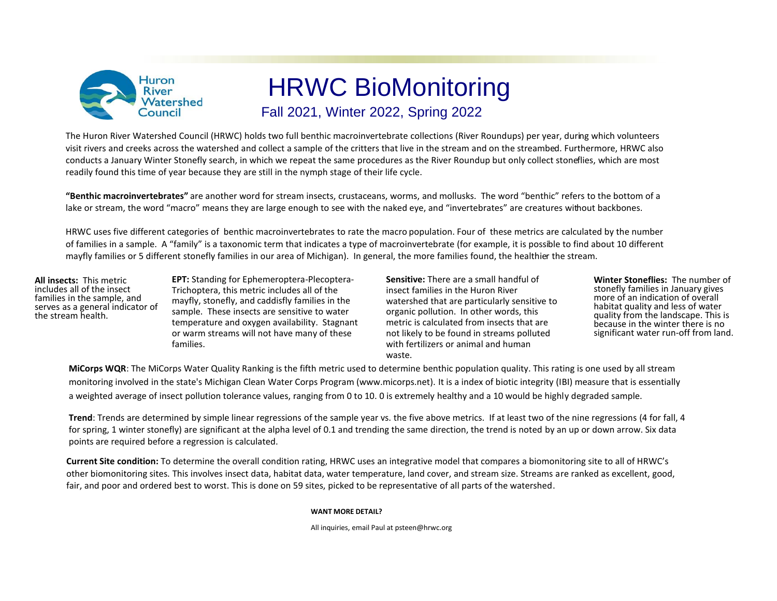

## HRWC BioMonitoring Fall 2021, Winter 2022, Spring 2022

The Huron River Watershed Council (HRWC) holds two full benthic macroinvertebrate collections (River Roundups) per year, during which volunteers visit rivers and creeks across the watershed and collect a sample of the critters that live in the stream and on the streambed. Furthermore, HRWC also conducts a January Winter Stonefly search, in which we repeat the same procedures as the River Roundup but only collect stoneflies, which are most readily found this time of year because they are still in the nymph stage of their life cycle.

**"Benthic macroinvertebrates"** are another word for stream insects, crustaceans, worms, and mollusks. The word "benthic" refers to the bottom of a lake or stream, the word "macro" means they are large enough to see with the naked eye, and "invertebrates" are creatures without backbones.

HRWC uses five different categories of benthic macroinvertebrates to rate the macro population. Four of these metrics are calculated by the number of families in a sample. A "family" is a taxonomic term that indicates a type of macroinvertebrate (for example, it is possible to find about 10 different mayfly families or 5 different stonefly families in our area of Michigan). In general, the more families found, the healthier the stream.

**All insects:** This metric includes all of the insect families in the sample, and serves as a general indicator of the stream health.

**EPT:** Standing for Ephemeroptera-Plecoptera-Trichoptera, this metric includes all of the mayfly, stonefly, and caddisfly families in the sample. These insects are sensitive to water temperature and oxygen availability. Stagnant or warm streams will not have many of these families.

**Sensitive:** There are a small handful of insect families in the Huron River watershed that are particularly sensitive to organic pollution. In other words, this metric is calculated from insects that are not likely to be found in streams polluted with fertilizers or animal and human waste.

**Winter Stoneflies:** The number of stonefly families in January gives more of an indication of overall habitat quality and less of water quality from the landscape. This is because in the winter there is no significant water run-off from land.

**MiCorps WQR**: The MiCorps Water Quality Ranking is the fifth metric used to determine benthic population quality. This rating is one used by all stream monitoring involved in the state's Michigan Clean Water Corps Program (www.micorps.net). It is a index of biotic integrity (IBI) measure that is essentially a weighted average of insect pollution tolerance values, ranging from 0 to 10. 0 is extremely healthy and a 10 would be highly degraded sample.

**Trend**: Trends are determined by simple linear regressions of the sample year vs. the five above metrics. If at least two of the nine regressions (4 for fall, 4 for spring, 1 winter stonefly) are significant at the alpha level of 0.1 and trending the same direction, the trend is noted by an up or down arrow. Six data points are required before a regression is calculated.

**Current Site condition:** To determine the overall condition rating, HRWC uses an integrative model that compares a biomonitoring site to all of HRWC's other biomonitoring sites. This involves insect data, habitat data, water temperature, land cover, and stream size. Streams are ranked as excellent, good, fair, and poor and ordered best to worst. This is done on 59 sites, picked to be representative of all parts of the watershed.

## **WANT MORE DETAIL?**

All inquiries, email Paul at psteen@hrwc.org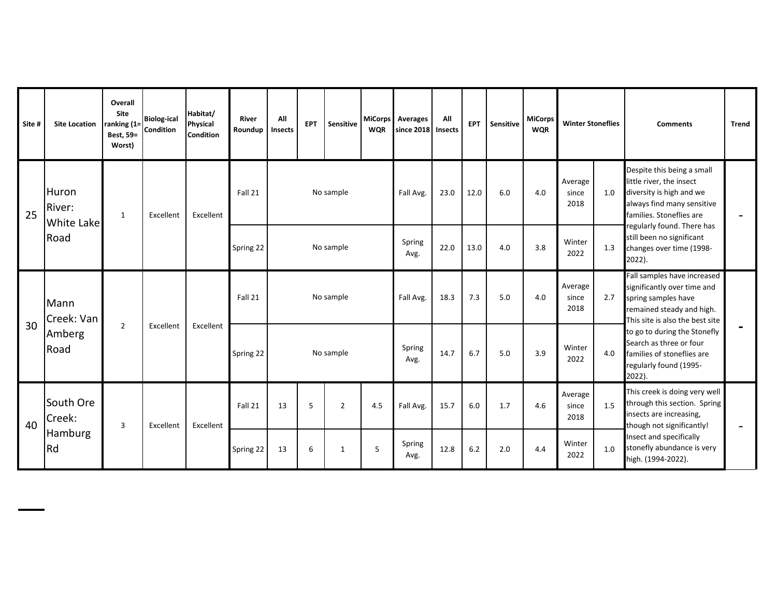| Site # | <b>Site Location</b>          | <b>Overall</b><br><b>Site</b><br>ranking $(1=$<br>Best, 59=<br>Worst) | <b>Biolog-ical</b><br><b>Condition</b> | Habitat/<br>Physical<br><b>Condition</b> | <b>River</b><br>Roundup | All<br>Insects | <b>EPT</b> | Sensitive      | <b>WQR</b> | MiCorps Averages<br>since 2018 | All<br><b>Insects</b> | <b>EPT</b> | Sensitive | <b>MiCorps</b><br><b>WQR</b> | <b>Winter Stoneflies</b> |     | <b>Comments</b>                                                                                                                                   | <b>Trend</b> |
|--------|-------------------------------|-----------------------------------------------------------------------|----------------------------------------|------------------------------------------|-------------------------|----------------|------------|----------------|------------|--------------------------------|-----------------------|------------|-----------|------------------------------|--------------------------|-----|---------------------------------------------------------------------------------------------------------------------------------------------------|--------------|
| 25     | Huron<br>River:<br>White Lake | $\mathbf{1}$                                                          | Excellent                              | Excellent                                | Fall 21                 |                |            | No sample      |            | Fall Avg.                      | 23.0                  | 12.0       | 6.0       | 4.0                          | Average<br>since<br>2018 | 1.0 | Despite this being a small<br>little river, the insect<br>diversity is high and we<br>always find many sensitive<br>families. Stoneflies are      |              |
|        | Road                          |                                                                       |                                        |                                          | Spring 22               |                |            | No sample      |            | Spring<br>Avg.                 | 22.0                  | 13.0       | 4.0       | 3.8                          | Winter<br>2022           | 1.3 | regularly found. There has<br>still been no significant<br>changes over time (1998-<br>2022).                                                     |              |
|        | Mann<br>Creek: Van            |                                                                       |                                        |                                          | Fall 21                 |                |            | No sample      |            | Fall Avg.                      | 18.3                  | 7.3        | 5.0       | 4.0                          | Average<br>since<br>2018 | 2.7 | Fall samples have increased<br>significantly over time and<br>spring samples have<br>remained steady and high.<br>This site is also the best site |              |
| 30     | Amberg<br>Road                | $\overline{2}$                                                        | Excellent                              | Excellent                                | Spring 22               |                |            | No sample      |            | Spring<br>Avg.                 | 14.7                  | 6.7        | 5.0       | 3.9                          | Winter<br>2022           | 4.0 | to go to during the Stonefly<br>Search as three or four<br>families of stoneflies are<br>regularly found (1995-<br>2022).                         |              |
| 40     | South Ore<br>Creek:           | 3                                                                     | Excellent                              | Excellent                                | Fall 21                 | 13             | 5          | $\overline{2}$ | 4.5        | Fall Avg.                      | 15.7                  | 6.0        | 1.7       | 4.6                          | Average<br>since<br>2018 | 1.5 | This creek is doing very well<br>through this section. Spring<br>insects are increasing,<br>though not significantly!                             |              |
|        | <b>Hamburg</b><br>Rd          |                                                                       |                                        |                                          | Spring 22               | 13             | 6          | 1              | 5          | Spring<br>Avg.                 | 12.8                  | 6.2        | 2.0       | 4.4                          | Winter<br>2022           | 1.0 | Insect and specifically<br>stonefly abundance is very<br>high. (1994-2022).                                                                       |              |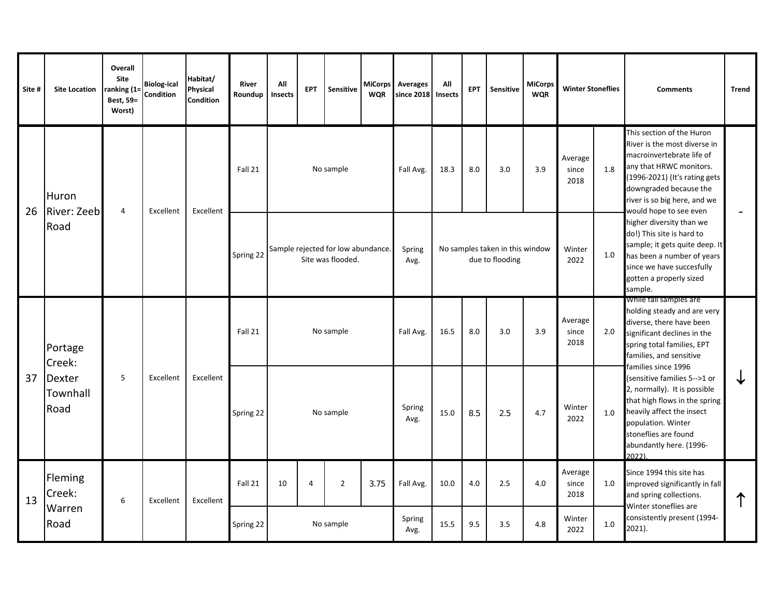| Site #                                      | <b>Site Location</b>        | Overall<br>Site<br>ranking (1=<br>Best, 59=<br><b>Worst</b> ) | <b>Biolog-ical</b><br>Condition | Habitat/<br><b>Physical</b><br><b>Condition</b> | <b>River</b><br>Roundup | All<br>Insects | <b>EPT</b>     | <b>Sensitive</b>                                        | MiCorps<br><b>WQR</b> | <b>Averages</b><br>since 2018 | All<br>Insects | <b>EPT</b> | Sensitive                                          | <b>MiCorps</b><br><b>WQR</b> | <b>Winter Stoneflies</b>           |                                                                                                                                                                                                                  | <b>Comments</b>                                                                                                                                                                                                                        | <b>Trend</b> |
|---------------------------------------------|-----------------------------|---------------------------------------------------------------|---------------------------------|-------------------------------------------------|-------------------------|----------------|----------------|---------------------------------------------------------|-----------------------|-------------------------------|----------------|------------|----------------------------------------------------|------------------------------|------------------------------------|------------------------------------------------------------------------------------------------------------------------------------------------------------------------------------------------------------------|----------------------------------------------------------------------------------------------------------------------------------------------------------------------------------------------------------------------------------------|--------------|
| 26                                          | Huron<br><b>River: Zeeb</b> | $\overline{4}$                                                | Excellent                       | Excellent                                       | Fall 21                 |                |                | No sample                                               |                       | Fall Avg.                     | 18.3           | 8.0        | 3.0                                                | 3.9                          | Average<br>since<br>2018           | 1.8                                                                                                                                                                                                              | This section of the Huron<br>River is the most diverse in<br>macroinvertebrate life of<br>any that HRWC monitors.<br>(1996-2021) (It's rating gets<br>downgraded because the<br>river is so big here, and we<br>would hope to see even |              |
|                                             | Road                        |                                                               |                                 |                                                 | Spring 22               |                |                | Sample rejected for low abundance.<br>Site was flooded. |                       | Spring<br>Avg.                |                |            | No samples taken in this window<br>due to flooding |                              | Winter<br>2022                     | 1.0                                                                                                                                                                                                              | higher diversity than we<br>do!) This site is hard to<br>sample; it gets quite deep. It<br>has been a number of years<br>since we have succesfully<br>gotten a properly sized<br>sample.                                               |              |
|                                             | Creek:                      |                                                               |                                 |                                                 | Fall 21                 |                |                | No sample                                               |                       | Fall Avg.                     | 16.5           | 8.0        | 3.0                                                | 3.9                          | Average<br>since<br>2018           | 2.0                                                                                                                                                                                                              | While fall samples are<br>holding steady and are very<br>diverse, there have been<br>significant declines in the<br>spring total families, EPT<br>families, and sensitive<br>families since 1996                                       |              |
| Portage<br>37<br>Dexter<br>Townhall<br>Road | 5                           | Excellent                                                     | Excellent                       | Spring 22                                       |                         |                | No sample      |                                                         | Spring<br>Avg.        | 15.0                          | 8.5            | 2.5        | 4.7                                                | Winter<br>2022               | 1.0                                | (sensitive families 5-->1 or<br>2, normally). It is possible<br>that high flows in the spring<br>heavily affect the insect<br>population. Winter<br>stoneflies are found<br>abundantly here. (1996-<br>$2022$ ). |                                                                                                                                                                                                                                        |              |
| 13                                          | Fleming<br>Creek:<br>Warren | 6                                                             | Excellent                       | Excellent                                       | Fall 21                 | 10             | $\overline{4}$ | $\overline{2}$                                          | 3.75                  | Fall Avg.<br>Spring           | 10.0           | 4.0        | 2.5                                                | 4.0                          | Average<br>since<br>2018<br>Winter | 1.0                                                                                                                                                                                                              | Since 1994 this site has<br>improved significantly in fall<br>and spring collections.<br>Winter stoneflies are<br>consistently present (1994-                                                                                          |              |
|                                             | Road                        |                                                               |                                 |                                                 | Spring 22               |                |                | No sample                                               |                       | Avg.                          | 15.5           | 9.5        | 3.5                                                | 4.8                          | 2022                               | $1.0$                                                                                                                                                                                                            | 2021).                                                                                                                                                                                                                                 |              |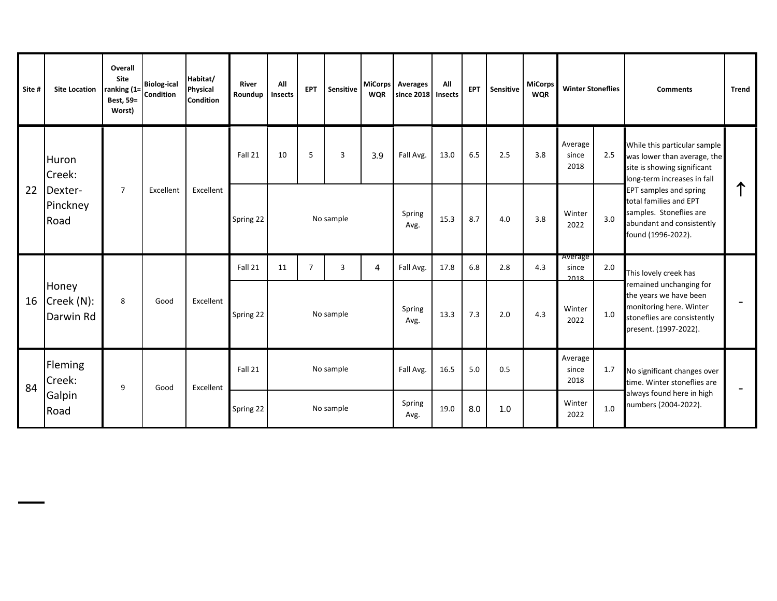| Site # | <b>Site Location</b>             | Overall<br>Site<br>ranking (1=<br>Best, 59=<br>Worst) | <b>Biolog-ical</b><br><b>Condition</b> | Habitat/<br>Physical<br><b>Condition</b> | <b>River</b><br>Roundup | All<br>Insects | <b>EPT</b>     | Sensitive | <b>MiCorps</b><br><b>WQR</b> | Averages<br>since 2018 | All<br><b>Insects</b> | <b>EPT</b> | Sensitive | MiCorps<br><b>WQR</b> | <b>Winter Stoneflies</b> |     | <b>Comments</b>                                                                                                                      | <b>Trend</b>             |
|--------|----------------------------------|-------------------------------------------------------|----------------------------------------|------------------------------------------|-------------------------|----------------|----------------|-----------|------------------------------|------------------------|-----------------------|------------|-----------|-----------------------|--------------------------|-----|--------------------------------------------------------------------------------------------------------------------------------------|--------------------------|
|        | Huron<br>Creek:                  |                                                       |                                        |                                          | Fall 21                 | 10             | 5              | 3         | 3.9                          | Fall Avg.              | 13.0                  | 6.5        | 2.5       | 3.8                   | Average<br>since<br>2018 | 2.5 | While this particular sample<br>was lower than average, the<br>site is showing significant<br>long-term increases in fall            |                          |
| 22     | Dexter-<br>Pinckney<br>Road      | $\overline{7}$                                        | Excellent                              | Excellent                                | Spring 22               |                |                | No sample |                              | Spring<br>Avg.         | 15.3                  | 8.7        | 4.0       | 3.8                   | Winter<br>2022           | 3.0 | EPT samples and spring<br>total families and EPT<br>samples. Stoneflies are<br>abundant and consistently<br>found (1996-2022).       |                          |
|        |                                  |                                                       |                                        |                                          | Fall 21                 | 11             | $\overline{7}$ | 3         | $\overline{4}$               | Fall Avg.              | 17.8                  | 6.8        | 2.8       | 4.3                   | Average<br>since<br>2018 | 2.0 | This lovely creek has                                                                                                                |                          |
| 16     | Honey<br>Creek (N):<br>Darwin Rd | 8                                                     | Good                                   | Excellent                                | Spring 22               |                |                | No sample |                              | Spring<br>Avg.         | 13.3                  | 7.3        | 2.0       | 4.3                   | Winter<br>2022           | 1.0 | remained unchanging for<br>the years we have been<br>monitoring here. Winter<br>stoneflies are consistently<br>present. (1997-2022). |                          |
|        | Fleming<br>Creek:                |                                                       |                                        |                                          | Fall 21                 |                |                | No sample |                              | Fall Avg.              | 16.5                  | 5.0        | 0.5       |                       | Average<br>since<br>2018 | 1.7 | No significant changes over<br>time. Winter stoneflies are                                                                           |                          |
| 84     | Galpin<br>Road                   | 9                                                     | Good                                   | Excellent                                | Spring 22               |                |                | No sample |                              | Spring<br>Avg.         | 19.0                  | 8.0        | 1.0       |                       | Winter<br>2022           | 1.0 | always found here in high<br>numbers (2004-2022).                                                                                    | $\overline{\phantom{m}}$ |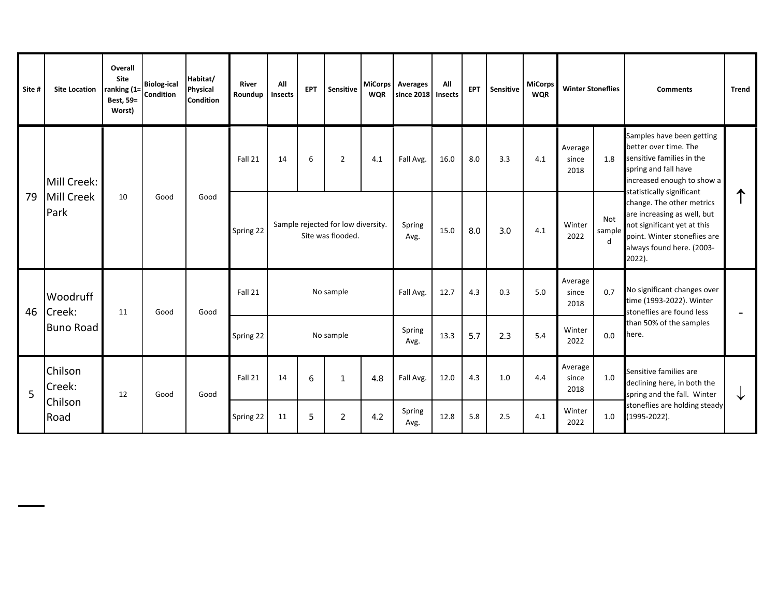| Site #                   | <b>Site Location</b> | <b>Overall</b><br><b>Site</b><br>ranking (1=<br>Best, 59=<br>Worst) | <b>Biolog-ical</b><br><b>Condition</b> | Habitat/<br><b>Physical</b><br><b>Condition</b> | <b>River</b><br>Roundup | All<br>Insects | <b>EPT</b> | Sensitive                                               | <b>WQR</b> | MiCorps Averages<br>since 2018 | All<br><b>Insects</b> | <b>EPT</b> | Sensitive | <b>MiCorps</b><br><b>WQR</b> | <b>Winter Stoneflies</b> |                                                                                      | <b>Comments</b>                                                                                                                                                    | <b>Trend</b> |
|--------------------------|----------------------|---------------------------------------------------------------------|----------------------------------------|-------------------------------------------------|-------------------------|----------------|------------|---------------------------------------------------------|------------|--------------------------------|-----------------------|------------|-----------|------------------------------|--------------------------|--------------------------------------------------------------------------------------|--------------------------------------------------------------------------------------------------------------------------------------------------------------------|--------------|
|                          | Mill Creek:          |                                                                     |                                        |                                                 | Fall 21                 | 14             | 6          | $\overline{2}$                                          | 4.1        | Fall Avg.                      | 16.0                  | 8.0        | 3.3       | 4.1                          | Average<br>since<br>2018 | 1.8                                                                                  | Samples have been getting<br>better over time. The<br>sensitive families in the<br>spring and fall have<br>increased enough to show a<br>statistically significant |              |
| 79                       | Mill Creek<br>Park   | 10                                                                  | Good                                   | Good                                            | Spring 22               |                |            | Sample rejected for low diversity.<br>Site was flooded. |            | Spring<br>Avg.                 | 15.0                  | 8.0        | 3.0       | 4.1                          | Winter<br>2022           | Not<br>sample<br>d                                                                   | change. The other metrics<br>are increasing as well, but<br>not significant yet at this<br>point. Winter stoneflies are<br>always found here. (2003-<br>2022).     |              |
| Woodruff<br>46<br>Creek: | 11                   | Good                                                                | Good                                   | Fall 21                                         |                         |                | No sample  |                                                         | Fall Avg.  | 12.7                           | 4.3                   | 0.3        | 5.0       | Average<br>since<br>2018     | 0.7                      | No significant changes over<br>time (1993-2022). Winter<br>stoneflies are found less |                                                                                                                                                                    |              |
|                          | <b>Buno Road</b>     |                                                                     |                                        |                                                 | Spring 22               |                |            | No sample                                               |            | Spring<br>Avg.                 | 13.3                  | 5.7        | 2.3       | 5.4                          | Winter<br>2022           | 0.0                                                                                  | than 50% of the samples<br>here.                                                                                                                                   |              |
| 5                        | Chilson<br>Creek:    | 12                                                                  | Good                                   | Good                                            | Fall 21                 | 14             | 6          |                                                         | 4.8        | Fall Avg.                      | 12.0                  | 4.3        | 1.0       | 4.4                          | Average<br>since<br>2018 | 1.0                                                                                  | Sensitive families are<br>declining here, in both the<br>spring and the fall. Winter                                                                               | ↓            |
|                          | Chilson<br>Road      |                                                                     |                                        |                                                 | Spring 22               | 11             | 5          | $\overline{2}$                                          | 4.2        | Spring<br>Avg.                 | 12.8                  | 5.8        | 2.5       | 4.1                          | Winter<br>2022           | 1.0                                                                                  | stoneflies are holding steady<br>(1995-2022).                                                                                                                      |              |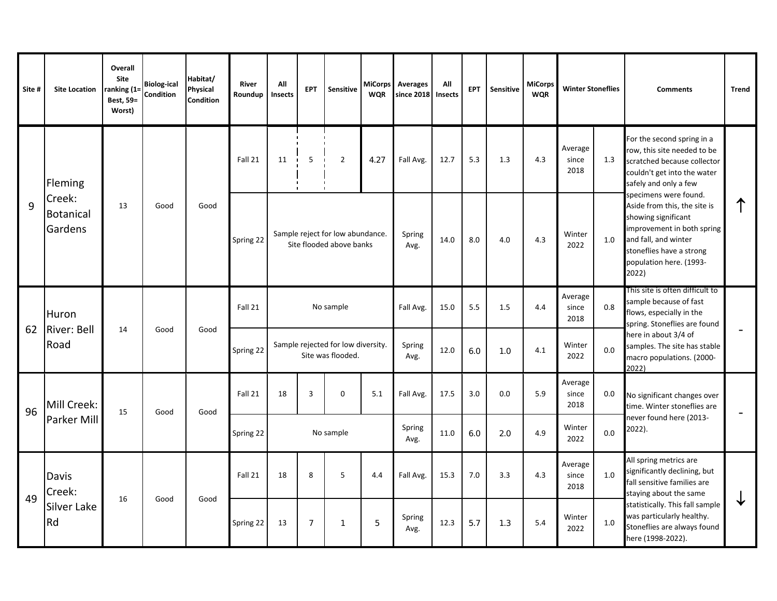| Site # | <b>Site Location</b>           | Overall<br><b>Site</b><br>ranking (1:<br>Best, 59=<br>Worst) | <b>Biolog-ical</b><br>Condition | Habitat/<br>Physical<br><b>Condition</b> | <b>River</b><br>Roundup | All<br>Insects | <b>EPT</b>     | Sensitive                                                    | <b>WQR</b>     | MiCorps Averages<br>since 2018 | All<br><b>Insects</b> | EPT | Sensitive | <b>MiCorps</b><br><b>WQR</b> | <b>Winter Stoneflies</b> |         | <b>Comments</b>                                                                                                                                                                                    | <b>Trend</b>      |
|--------|--------------------------------|--------------------------------------------------------------|---------------------------------|------------------------------------------|-------------------------|----------------|----------------|--------------------------------------------------------------|----------------|--------------------------------|-----------------------|-----|-----------|------------------------------|--------------------------|---------|----------------------------------------------------------------------------------------------------------------------------------------------------------------------------------------------------|-------------------|
|        | Fleming                        |                                                              |                                 |                                          | Fall 21                 | 11             | 5              | $\overline{2}$                                               | 4.27           | Fall Avg.                      | 12.7                  | 5.3 | 1.3       | 4.3                          | Average<br>since<br>2018 | 1.3     | For the second spring in a<br>row, this site needed to be<br>scratched because collector<br>couldn't get into the water<br>safely and only a few                                                   |                   |
| 9      | Creek:<br>Botanical<br>Gardens | 13                                                           | Good                            | Good                                     | Spring 22               |                |                | Sample reject for low abundance.<br>Site flooded above banks |                | Spring<br>Avg.                 | 14.0                  | 8.0 | 4.0       | 4.3                          | Winter<br>2022           | 1.0     | specimens were found.<br>Aside from this, the site is<br>showing significant<br>improvement in both spring<br>and fall, and winter<br>stoneflies have a strong<br>population here. (1993-<br>2022) |                   |
|        | Huron                          |                                                              |                                 |                                          | Fall 21                 |                |                | No sample                                                    |                | Fall Avg.                      | 15.0                  | 5.5 | 1.5       | 4.4                          | Average<br>since<br>2018 | 0.8     | This site is often difficult to<br>sample because of fast<br>flows, especially in the<br>spring. Stoneflies are found                                                                              |                   |
| 62     | <b>River: Bell</b><br>Road     | 14                                                           | Good                            | Good                                     | Spring 22               |                |                | Sample rejected for low diversity.<br>Site was flooded.      |                | Spring<br>Avg.                 | 12.0                  | 6.0 | 1.0       | 4.1                          | Winter<br>2022           | 0.0     | here in about 3/4 of<br>samples. The site has stable<br>macro populations. (2000-<br>2022)                                                                                                         |                   |
| 96     | Mill Creek:                    | 15                                                           | Good                            | Good                                     | Fall 21                 | 18             | $\overline{3}$ | $\Omega$                                                     | 5.1            | Fall Avg.                      | 17.5                  | 3.0 | 0.0       | 5.9                          | Average<br>since<br>2018 | $0.0\,$ | No significant changes over<br>time. Winter stoneflies are                                                                                                                                         | $\qquad \qquad -$ |
|        | Parker Mill                    |                                                              |                                 |                                          | Spring 22               |                |                | No sample                                                    |                | Spring<br>Avg.                 | 11.0                  | 6.0 | 2.0       | 4.9                          | Winter<br>2022           | 0.0     | never found here (2013-<br>2022).                                                                                                                                                                  |                   |
|        | Davis<br>Creek:                |                                                              |                                 |                                          | Fall 21                 | 18             | 8              | 5                                                            | 4.4            | Fall Avg.                      | 15.3                  | 7.0 | 3.3       | 4.3                          | Average<br>since<br>2018 | 1.0     | All spring metrics are<br>significantly declining, but<br>fall sensitive families are<br>staying about the same                                                                                    |                   |
| 49     | Silver Lake<br>Rd              | 16                                                           | Good                            | Good                                     | Spring 22               | 13             | 7              | 1                                                            | $\overline{5}$ | Spring<br>Avg.                 | 12.3                  | 5.7 | 1.3       | 5.4                          | Winter<br>2022           | $1.0\,$ | statistically. This fall sample<br>was particularly healthy.<br>Stoneflies are always found<br>here (1998-2022).                                                                                   | ✔                 |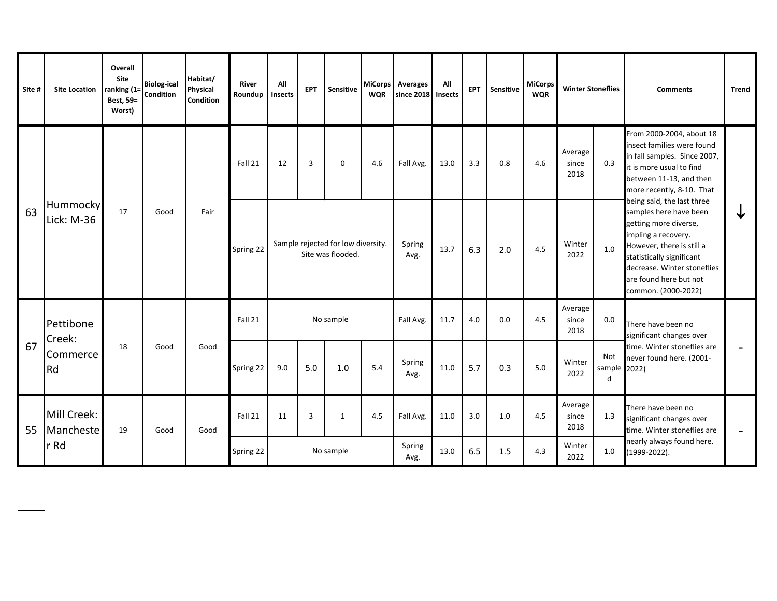| Site # | <b>Site Location</b>     | Overall<br>Site<br>ranking (1=<br>Best, 59=<br>Worst) | <b>Biolog-ical</b><br><b>Condition</b> | Habitat/<br>Physical<br><b>Condition</b> | <b>River</b><br>Roundup | All<br>Insects | <b>EPT</b> | Sensitive                                               | <b>WQR</b> | MiCorps Averages<br>since 2018 | All<br><b>Insects</b> | <b>EPT</b> | Sensitive | MiCorps<br><b>WQR</b> | <b>Winter Stoneflies</b> |                          | <b>Comments</b>                                                                                                                                                                                                                                | <b>Trend</b> |
|--------|--------------------------|-------------------------------------------------------|----------------------------------------|------------------------------------------|-------------------------|----------------|------------|---------------------------------------------------------|------------|--------------------------------|-----------------------|------------|-----------|-----------------------|--------------------------|--------------------------|------------------------------------------------------------------------------------------------------------------------------------------------------------------------------------------------------------------------------------------------|--------------|
|        |                          |                                                       |                                        |                                          | Fall 21                 | 12             | 3          | 0                                                       | 4.6        | Fall Avg.                      | 13.0                  | 3.3        | 0.8       | 4.6                   | Average<br>since<br>2018 | 0.3                      | From 2000-2004, about 18<br>insect families were found<br>in fall samples. Since 2007,<br>it is more usual to find<br>between 11-13, and then<br>more recently, 8-10. That                                                                     |              |
| 63     | Hummocky<br>Lick: M-36   | 17                                                    | Good                                   | Fair                                     | Spring 22               |                |            | Sample rejected for low diversity.<br>Site was flooded. |            | Spring<br>Avg.                 | 13.7                  | 6.3        | 2.0       | 4.5                   | Winter<br>2022           | 1.0                      | being said, the last three<br>samples here have been<br>getting more diverse,<br>impling a recovery.<br>However, there is still a<br>statistically significant<br>decrease. Winter stoneflies<br>are found here but not<br>common. (2000-2022) | ◡            |
|        | Pettibone<br>Creek:      |                                                       |                                        |                                          | Fall 21                 |                |            | No sample                                               |            | Fall Avg.                      | 11.7                  | 4.0        | 0.0       | 4.5                   | Average<br>since<br>2018 | 0.0                      | There have been no<br>significant changes over                                                                                                                                                                                                 |              |
| 67     | Commerce<br>Rd           | 18                                                    | Good                                   | Good                                     | Spring 22               | 9.0            | 5.0        | 1.0                                                     | 5.4        | Spring<br>Avg.                 | 11.0                  | 5.7        | 0.3       | 5.0                   | Winter<br>2022           | Not<br>sample 2022)<br>d | time. Winter stoneflies are<br>never found here. (2001-                                                                                                                                                                                        |              |
| 55     | Mill Creek:<br>Mancheste | 19                                                    | Good                                   | Good                                     | Fall 21                 | 11             | 3          | $\mathbf{1}$                                            | 4.5        | Fall Avg.                      | 11.0                  | 3.0        | 1.0       | 4.5                   | Average<br>since<br>2018 | 1.3                      | There have been no<br>significant changes over<br>time. Winter stoneflies are                                                                                                                                                                  |              |
|        | r Rd                     |                                                       |                                        |                                          | Spring 22               |                |            | No sample                                               |            | Spring<br>Avg.                 | 13.0                  | 6.5        | 1.5       | 4.3                   | Winter<br>2022           | 1.0                      | nearly always found here.<br>(1999-2022).                                                                                                                                                                                                      |              |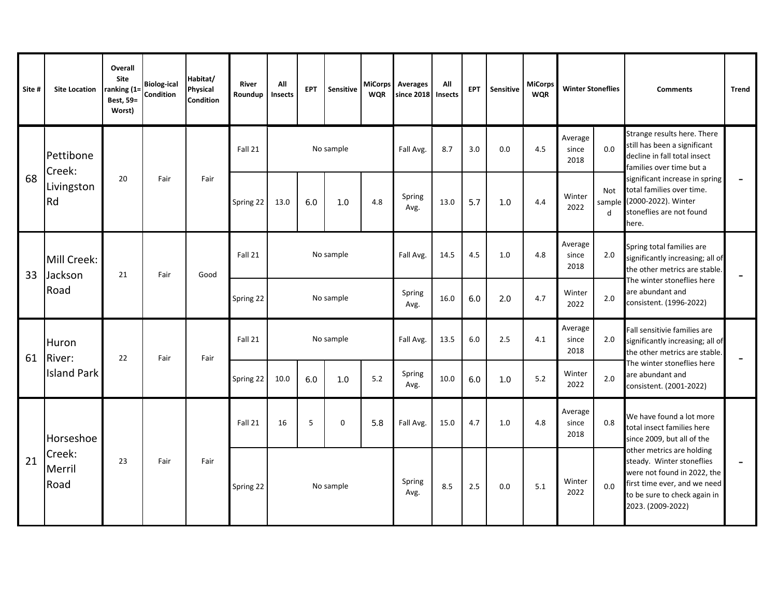| Site # | <b>Site Location</b>     | Overall<br>Site<br>ranking (1=<br>Best, 59=<br>Worst) | <b>Biolog-ical</b><br>Condition | Habitat/<br><b>Physical</b><br>Condition | <b>River</b><br>Roundup | All<br>Insects | <b>EPT</b> | Sensitive   | <b>WQR</b> | MiCorps Averages<br>since 2018 | All<br><b>Insects</b> | <b>EPT</b> | Sensitive | <b>MiCorps</b><br><b>WQR</b> | <b>Winter Stoneflies</b> |                           | <b>Comments</b>                                                                                                                                                            | <b>Trend</b> |
|--------|--------------------------|-------------------------------------------------------|---------------------------------|------------------------------------------|-------------------------|----------------|------------|-------------|------------|--------------------------------|-----------------------|------------|-----------|------------------------------|--------------------------|---------------------------|----------------------------------------------------------------------------------------------------------------------------------------------------------------------------|--------------|
|        | Pettibone<br>Creek:      |                                                       |                                 |                                          | Fall 21                 |                |            | No sample   |            | Fall Avg.                      | 8.7                   | 3.0        | 0.0       | 4.5                          | Average<br>since<br>2018 | 0.0                       | Strange results here. There<br>still has been a significant<br>decline in fall total insect<br>families over time but a                                                    |              |
| 68     | Livingston<br>Rd         | 20                                                    | Fair                            | Fair                                     | Spring 22               | 13.0           | 6.0        | 1.0         | 4.8        | Spring<br>Avg.                 | 13.0                  | 5.7        | 1.0       | 4.4                          | Winter<br>2022           | <b>Not</b><br>sample<br>d | significant increase in spring<br>total families over time.<br>(2000-2022). Winter<br>stoneflies are not found<br>here.                                                    |              |
| 33     | Mill Creek:<br>Jackson   | 21                                                    | Fair                            | Good                                     | Fall 21                 |                |            | No sample   |            | Fall Avg.                      | 14.5                  | 4.5        | 1.0       | 4.8                          | Average<br>since<br>2018 | 2.0                       | Spring total families are<br>significantly increasing; all of<br>the other metrics are stable.                                                                             |              |
|        | Road                     |                                                       |                                 |                                          | Spring 22               |                |            | No sample   |            | Spring<br>Avg.                 | 16.0                  | 6.0        | 2.0       | 4.7                          | Winter<br>2022           | 2.0                       | The winter stoneflies here<br>are abundant and<br>consistent. (1996-2022)                                                                                                  |              |
| 61     | Huron<br>River:          | 22                                                    | Fair                            | Fair                                     | Fall 21                 |                |            | No sample   |            | Fall Avg.                      | 13.5                  | 6.0        | 2.5       | 4.1                          | Average<br>since<br>2018 | 2.0                       | Fall sensitivie families are<br>significantly increasing; all of<br>the other metrics are stable.                                                                          |              |
|        | <b>Island Park</b>       |                                                       |                                 |                                          | Spring 22               | 10.0           | 6.0        | 1.0         | 5.2        | Spring<br>Avg.                 | 10.0                  | 6.0        | 1.0       | $5.2$                        | Winter<br>2022           | 2.0                       | The winter stoneflies here<br>are abundant and<br>consistent. (2001-2022)                                                                                                  |              |
|        | Horseshoe                |                                                       |                                 |                                          | Fall 21                 | 16             | 5          | $\mathbf 0$ | 5.8        | Fall Avg.                      | 15.0                  | 4.7        | 1.0       | 4.8                          | Average<br>since<br>2018 | 0.8                       | We have found a lot more<br>total insect families here<br>since 2009, but all of the                                                                                       |              |
| 21     | Creek:<br>Merril<br>Road | 23                                                    | Fair                            | Fair                                     | Spring 22               |                |            | No sample   |            | Spring<br>Avg.                 | 8.5                   | 2.5        | 0.0       | 5.1                          | Winter<br>2022           | 0.0                       | other metrics are holding<br>steady. Winter stoneflies<br>were not found in 2022, the<br>first time ever, and we need<br>to be sure to check again in<br>2023. (2009-2022) |              |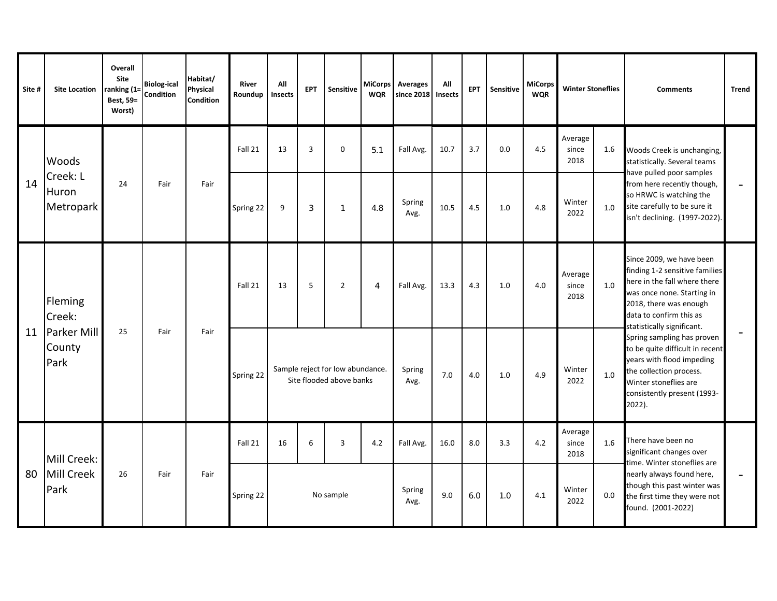| Site # | <b>Site Location</b>           | Overall<br>Site<br>ranking (1=<br>Best, 59=<br>Worst) | <b>Biolog-ical</b><br>Condition | Habitat/<br><b>Physical</b><br><b>Condition</b> | River<br>Roundup | All<br>Insects | <b>EPT</b>     | <b>Sensitive</b>                                             | <b>WQR</b>     | MiCorps Averages<br>since 2018 | All<br>Insects | EPT | <b>Sensitive</b> | <b>MiCorps</b><br><b>WOR</b> | <b>Winter Stoneflies</b> |         | <b>Comments</b>                                                                                                                                                                                             | <b>Trend</b>             |
|--------|--------------------------------|-------------------------------------------------------|---------------------------------|-------------------------------------------------|------------------|----------------|----------------|--------------------------------------------------------------|----------------|--------------------------------|----------------|-----|------------------|------------------------------|--------------------------|---------|-------------------------------------------------------------------------------------------------------------------------------------------------------------------------------------------------------------|--------------------------|
|        | Woods                          |                                                       |                                 |                                                 | Fall 21          | 13             | $\overline{3}$ | 0                                                            | 5.1            | Fall Avg.                      | 10.7           | 3.7 | 0.0              | 4.5                          | Average<br>since<br>2018 | 1.6     | Woods Creek is unchanging,<br>statistically. Several teams                                                                                                                                                  |                          |
| 14     | Creek: L<br>Huron<br>Metropark | 24                                                    | Fair                            | Fair                                            | Spring 22        | 9              | 3              | $\mathbf{1}$                                                 | 4.8            | Spring<br>Avg.                 | 10.5           | 4.5 | 1.0              | 4.8                          | Winter<br>2022           | 1.0     | have pulled poor samples<br>from here recently though,<br>so HRWC is watching the<br>site carefully to be sure it<br>isn't declining. (1997-2022).                                                          | $\overline{\phantom{a}}$ |
|        | Fleming<br>Creek:              |                                                       |                                 |                                                 | Fall 21          | 13             | 5              | $\overline{2}$                                               | $\overline{4}$ | Fall Avg.                      | 13.3           | 4.3 | 1.0              | 4.0                          | Average<br>since<br>2018 | 1.0     | Since 2009, we have been<br>finding 1-2 sensitive families<br>here in the fall where there<br>was once none. Starting in<br>2018, there was enough<br>data to confirm this as<br>statistically significant. |                          |
| 11     | Parker Mill<br>County<br>Park  | 25                                                    | Fair                            | Fair                                            | Spring 22        |                |                | Sample reject for low abundance.<br>Site flooded above banks |                | Spring<br>Avg.                 | 7.0            | 4.0 | 1.0              | 4.9                          | Winter<br>2022           | 1.0     | Spring sampling has proven<br>to be quite difficult in recent<br>years with flood impeding<br>the collection process.<br>Winter stoneflies are<br>consistently present (1993-<br>2022).                     |                          |
|        | Mill Creek:                    |                                                       |                                 |                                                 | Fall 21          | 16             | 6              | 3                                                            | 4.2            | Fall Avg.                      | 16.0           | 8.0 | 3.3              | 4.2                          | Average<br>since<br>2018 | 1.6     | There have been no<br>significant changes over<br>time. Winter stoneflies are                                                                                                                               |                          |
| 80     | Mill Creek<br>Park             | 26                                                    | Fair                            | Fair                                            | Spring 22        |                |                | No sample                                                    |                | Spring<br>Avg.                 | 9.0            | 6.0 | 1.0              | 4.1                          | Winter<br>2022           | $0.0\,$ | nearly always found here,<br>though this past winter was<br>the first time they were not<br>found. (2001-2022)                                                                                              | $\overline{\phantom{a}}$ |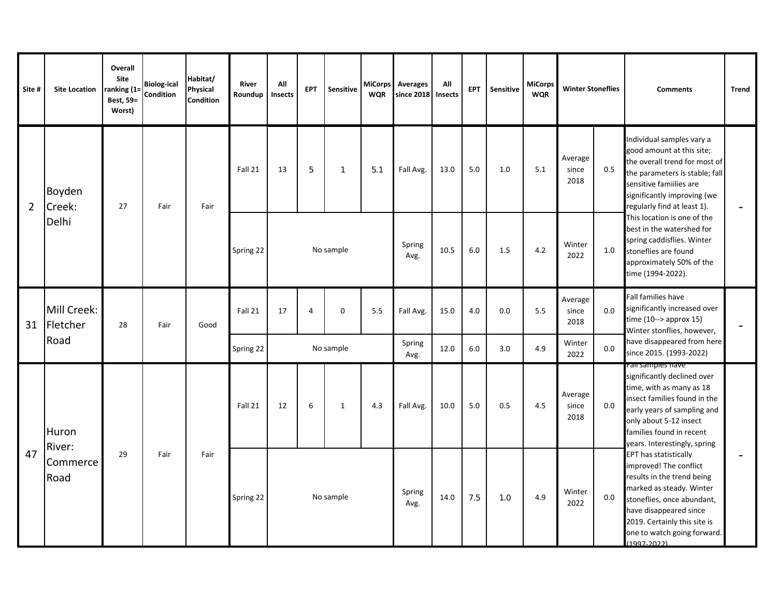| Site #         | <b>Site Location</b>    | <b>Overall</b><br>Site<br>ranking (1=<br>Best, 59=<br>Worst) | <b>Biolog-ical</b><br>Condition | Habitat/<br>Physical<br><b>Condition</b> | River<br>Roundup | All<br>Insects | <b>EPT</b> | Sensitive    | <b>WQR</b> | MiCorps Averages<br>since 2018 | All<br><b>Insects</b> | <b>EPT</b> | Sensitive | <b>MiCorps</b><br><b>WQR</b> | <b>Winter Stoneflies</b> |     | <b>Comments</b>                                                                                                                                                                                                                                        | <b>Trend</b> |
|----------------|-------------------------|--------------------------------------------------------------|---------------------------------|------------------------------------------|------------------|----------------|------------|--------------|------------|--------------------------------|-----------------------|------------|-----------|------------------------------|--------------------------|-----|--------------------------------------------------------------------------------------------------------------------------------------------------------------------------------------------------------------------------------------------------------|--------------|
| $\overline{2}$ | Boyden<br>Creek:        | 27                                                           | Fair                            | Fair                                     | Fall 21          | 13             | 5          | $\mathbf{1}$ | 5.1        | Fall Avg.                      | 13.0                  | 5.0        | 1.0       | 5.1                          | Average<br>since<br>2018 | 0.5 | Individual samples vary a<br>good amount at this site;<br>the overall trend for most of<br>the parameters is stable; fall<br>sensitive famiilies are<br>significantly improving (we<br>regularly find at least 1).                                     |              |
|                | Delhi                   |                                                              |                                 |                                          | Spring 22        |                |            | No sample    |            | Spring<br>Avg.                 | 10.5                  | 6.0        | 1.5       | 4.2                          | Winter<br>2022           | 1.0 | This location is one of the<br>best in the watershed for<br>spring caddisflies. Winter<br>stoneflies are found<br>approximately 50% of the<br>time (1994-2022).                                                                                        |              |
| 31             | Mill Creek:<br>Fletcher | 28                                                           | Fair                            | Good                                     | Fall 21          | 17             | $\Delta$   | $\Omega$     | 5.5        | Fall Avg.                      | 15.0                  | 4.0        | 0.0       | 5.5                          | Average<br>since<br>2018 | 0.0 | <b>Fall families have</b><br>significantly increased over<br>time $(10--$ approx $15)$<br>Winter stonflies, however,                                                                                                                                   |              |
|                | Road                    |                                                              |                                 |                                          | Spring 22        |                |            | No sample    |            | Spring<br>Avg.                 | 12.0                  | 6.0        | 3.0       | 4.9                          | Winter<br>2022           | 0.0 | have disappeared from here<br>since 2015. (1993-2022)                                                                                                                                                                                                  |              |
|                | Huron<br>River:         |                                                              |                                 |                                          | Fall 21          | 12             | 6          | $\mathbf{1}$ | 4.3        | Fall Avg.                      | 10.0                  | 5.0        | 0.5       | 4.5                          | Average<br>since<br>2018 | 0.0 | Fail samples nave<br>significantly declined over<br>time, with as many as 18<br>insect families found in the<br>early years of sampling and<br>only about 5-12 insect<br>families found in recent<br>years. Interestingly, spring                      |              |
| 47             | Commerce<br>Road        | 29                                                           | Fair                            | Fair                                     | Spring 22        |                |            | No sample    |            | Spring<br>Avg.                 | 14.0                  | 7.5        | 1.0       | 4.9                          | Winter<br>2022           | 0.0 | <b>EPT has statistically</b><br>improved! The conflict<br>results in the trend being<br>marked as steady. Winter<br>stoneflies, once abundant,<br>have disappeared since<br>2019. Certainly this site is<br>one to watch going forward.<br>(1997-2022) |              |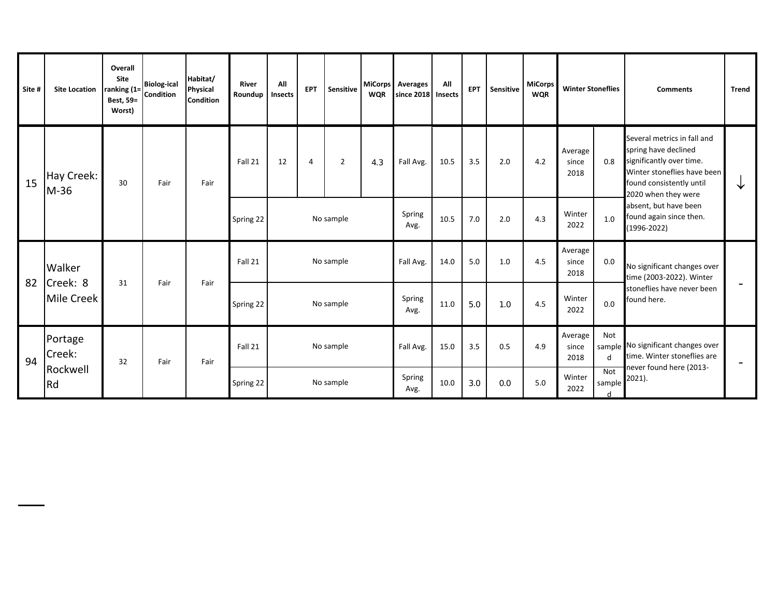| Site #                       | <b>Site Location</b> | Overall<br>Site<br>ranking (1=<br>Best, 59=<br>Worst) | <b>Biolog-ical</b><br><b>Condition</b> | Habitat/<br>Physical<br><b>Condition</b> | <b>River</b><br>Roundup | All<br>Insects | <b>EPT</b>     | Sensitive      | <b>MiCorps</b><br><b>WQR</b> | Averages<br>since 2018 | All<br><b>Insects</b> | <b>EPT</b> | Sensitive | <b>MiCorps</b><br><b>WQR</b> | <b>Winter Stoneflies</b> |                                                   | <b>Comments</b>                                                                                                                                                   | <b>Trend</b> |
|------------------------------|----------------------|-------------------------------------------------------|----------------------------------------|------------------------------------------|-------------------------|----------------|----------------|----------------|------------------------------|------------------------|-----------------------|------------|-----------|------------------------------|--------------------------|---------------------------------------------------|-------------------------------------------------------------------------------------------------------------------------------------------------------------------|--------------|
| 15                           | Hay Creek:<br>M-36   | 30                                                    | Fair                                   | Fair                                     | Fall 21                 | 12             | $\overline{4}$ | $\overline{2}$ | 4.3                          | Fall Avg.              | 10.5                  | 3.5        | 2.0       | 4.2                          | Average<br>since<br>2018 | 0.8                                               | Several metrics in fall and<br>spring have declined<br>significantly over time.<br>Winter stoneflies have been<br>found consistently until<br>2020 when they were | ◡            |
|                              |                      |                                                       |                                        |                                          | Spring 22               |                |                | No sample      |                              | Spring<br>Avg.         | 10.5                  | 7.0        | 2.0       | 4.3                          | Winter<br>2022           | 1.0                                               | absent, but have been<br>found again since then.<br>$(1996 - 2022)$                                                                                               |              |
|                              | Walker               | 31                                                    | Fair                                   | Fair                                     | Fall 21                 |                |                | No sample      |                              | Fall Avg.              | 14.0                  | 5.0        | 1.0       | 4.5                          | Average<br>since<br>2018 | 0.0                                               | No significant changes over<br>time (2003-2022). Winter                                                                                                           |              |
| 82<br>Creek: 8<br>Mile Creek |                      |                                                       |                                        | Spring 22                                |                         |                | No sample      |                | Spring<br>Avg.               | 11.0                   | 5.0                   | 1.0        | 4.5       | Winter<br>2022               | 0.0                      | stoneflies have never been<br>found here.         |                                                                                                                                                                   |              |
| 94                           | Portage<br>Creek:    | 32                                                    | Fair                                   | Fair                                     | Fall 21                 |                |                | No sample      |                              | Fall Avg.              | 15.0                  | 3.5        | 0.5       | 4.9                          | Average<br>since<br>2018 | Not<br>sample<br>d                                | No significant changes over<br>time. Winter stoneflies are                                                                                                        |              |
|                              | Rockwell<br>Rd       |                                                       |                                        |                                          | Spring 22               |                |                | No sample      |                              | Spring<br>Avg.         | 10.0                  | 3.0        | 0.0       | 5.0                          | Winter<br>2022           | $\overline{\text{Not}}$<br>sample<br><sub>d</sub> | never found here (2013-<br>2021).                                                                                                                                 |              |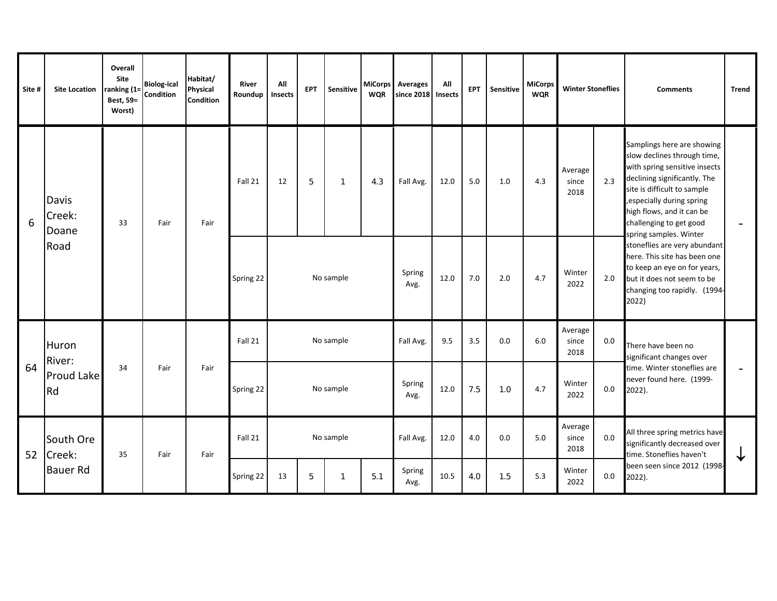| Site #             | <b>Site Location</b>     | Overall<br>Site<br>ranking (1:<br>Best, 59=<br>Worst) | <b>Biolog-ical</b><br>Condition | Habitat/<br>Physical<br><b>Condition</b> | River<br>Roundup | All<br>Insects | <b>EPT</b> | <b>Sensitive</b> | <b>MiCorps</b><br><b>WQR</b> | <b>Averages</b><br>since 2018 | All<br>Insects | EPT | Sensitive | <b>MiCorps</b><br><b>WQR</b> | <b>Winter Stoneflies</b> |         | <b>Comments</b>                                                                                                                                                                                                                                                           | <b>Trend</b>             |
|--------------------|--------------------------|-------------------------------------------------------|---------------------------------|------------------------------------------|------------------|----------------|------------|------------------|------------------------------|-------------------------------|----------------|-----|-----------|------------------------------|--------------------------|---------|---------------------------------------------------------------------------------------------------------------------------------------------------------------------------------------------------------------------------------------------------------------------------|--------------------------|
| 6                  | Davis<br>Creek:<br>Doane | 33                                                    | Fair                            | Fair                                     | Fall 21          | 12             | 5          | $\mathbf{1}$     | 4.3                          | Fall Avg.                     | 12.0           | 5.0 | 1.0       | 4.3                          | Average<br>since<br>2018 | 2.3     | Samplings here are showing<br>slow declines through time,<br>with spring sensitive insects<br>declining significantly. The<br>site is difficult to sample<br>, especially during spring<br>high flows, and it can be<br>challenging to get good<br>spring samples. Winter |                          |
|                    | Road                     |                                                       |                                 |                                          | Spring 22        |                |            | No sample        |                              | Spring<br>Avg.                | 12.0           | 7.0 | 2.0       | 4.7                          | Winter<br>2022           | 2.0     | stoneflies are very abundant<br>here. This site has been one<br>to keep an eye on for years,<br>but it does not seem to be<br>changing too rapidly. (1994-<br>2022)                                                                                                       |                          |
|                    | Huron                    |                                                       |                                 |                                          | Fall 21          |                |            | No sample        |                              | Fall Avg.                     | 9.5            | 3.5 | 0.0       | 6.0                          | Average<br>since<br>2018 | $0.0\,$ | There have been no<br>significant changes over                                                                                                                                                                                                                            |                          |
| River:<br>64<br>Rd | Proud Lake               | 34                                                    | Fair                            | Fair                                     | Spring 22        |                |            | No sample        |                              | Spring<br>Avg.                | 12.0           | 7.5 | 1.0       | 4.7                          | Winter<br>2022           | $0.0\,$ | time. Winter stoneflies are<br>never found here. (1999-<br>2022).                                                                                                                                                                                                         | $\overline{\phantom{0}}$ |
| 52                 | South Ore<br>Creek:      | 35                                                    | Fair                            | Fair                                     | Fall 21          |                |            | No sample        |                              | Fall Avg.                     | 12.0           | 4.0 | 0.0       | 5.0                          | Average<br>since<br>2018 | 0.0     | All three spring metrics have<br>significantly decreased over<br>time. Stoneflies haven't                                                                                                                                                                                 | ┶                        |
|                    | <b>Bauer Rd</b>          |                                                       |                                 |                                          | Spring 22        | 13             | 5          |                  | 5.1                          | Spring<br>Avg.                | 10.5           | 4.0 | 1.5       | 5.3                          | Winter<br>2022           | 0.0     | been seen since 2012 (1998-<br>2022).                                                                                                                                                                                                                                     |                          |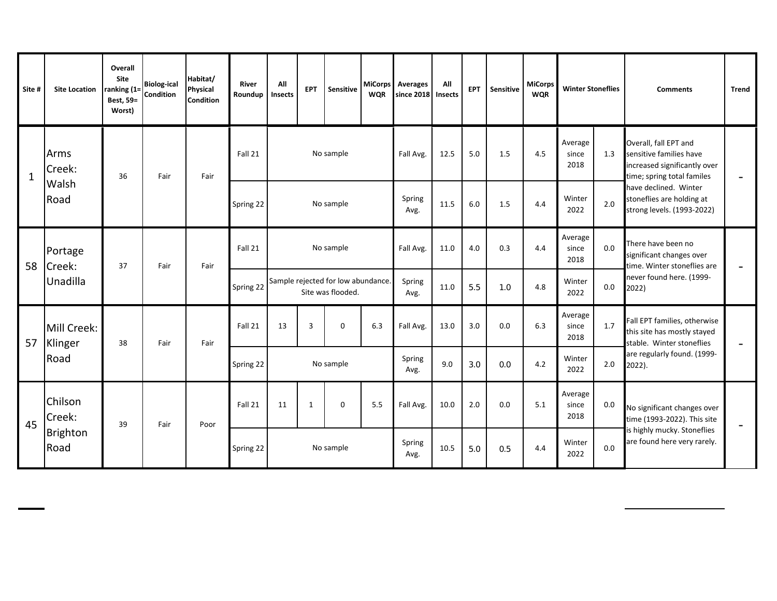| Site #       | <b>Site Location</b>    | <b>Overall</b><br>Site<br>ranking (1=<br>Best, 59=<br>Worst) | <b>Biolog-ical</b><br>Condition | Habitat/<br>Physical<br><b>Condition</b> | River<br>Roundup | All<br>Insects | <b>EPT</b> | <b>Sensitive</b>                                        | <b>WQR</b> | MiCorps Averages<br>since 2018 | All<br>Insects | <b>EPT</b> | Sensitive | <b>MiCorps</b><br><b>WQR</b> | <b>Winter Stoneflies</b> |     | <b>Comments</b>                                                                                                | <b>Trend</b> |
|--------------|-------------------------|--------------------------------------------------------------|---------------------------------|------------------------------------------|------------------|----------------|------------|---------------------------------------------------------|------------|--------------------------------|----------------|------------|-----------|------------------------------|--------------------------|-----|----------------------------------------------------------------------------------------------------------------|--------------|
| $\mathbf{1}$ | Arms<br>Creek:          | 36                                                           | Fair                            | Fair                                     | Fall 21          |                |            | No sample                                               |            | Fall Avg.                      | 12.5           | 5.0        | 1.5       | 4.5                          | Average<br>since<br>2018 | 1.3 | Overall, fall EPT and<br>sensitive families have<br>increased significantly over<br>time; spring total familes |              |
|              | Walsh<br>Road           |                                                              |                                 |                                          | Spring 22        |                |            | No sample                                               |            | Spring<br>Avg.                 | 11.5           | 6.0        | 1.5       | 4.4                          | Winter<br>2022           | 2.0 | have declined. Winter<br>stoneflies are holding at<br>strong levels. (1993-2022)                               |              |
| 58           | Portage<br>Creek:       | 37                                                           | Fair                            | Fair                                     | Fall 21          |                |            | No sample                                               |            | Fall Avg.                      | 11.0           | 4.0        | 0.3       | 4.4                          | Average<br>since<br>2018 | 0.0 | There have been no<br>significant changes over<br>time. Winter stoneflies are                                  |              |
|              | Unadilla                |                                                              |                                 |                                          | Spring 22        |                |            | Sample rejected for low abundance.<br>Site was flooded. |            | Spring<br>Avg.                 | 11.0           | 5.5        | 1.0       | 4.8                          | Winter<br>2022           | 0.0 | never found here. (1999-<br>2022)                                                                              |              |
| 57           | Mill Creek:<br>Klinger  | 38                                                           | Fair                            | Fair                                     | Fall 21          | 13             | 3          | $\Omega$                                                | 6.3        | Fall Avg.                      | 13.0           | 3.0        | 0.0       | 6.3                          | Average<br>since<br>2018 | 1.7 | Fall EPT families, otherwise<br>this site has mostly stayed<br>stable. Winter stoneflies                       |              |
|              | Road                    |                                                              |                                 |                                          | Spring 22        |                |            | No sample                                               |            | Spring<br>Avg.                 | 9.0            | 3.0        | 0.0       | 4.2                          | Winter<br>2022           | 2.0 | are regularly found. (1999-<br>2022).                                                                          |              |
| 45           | Chilson<br>Creek:       | 39                                                           | Fair                            | Poor                                     | Fall 21          | 11             | 1          | $\mathbf 0$                                             | 5.5        | Fall Avg.                      | 10.0           | 2.0        | 0.0       | 5.1                          | Average<br>since<br>2018 | 0.0 | No significant changes over<br>time (1993-2022). This site                                                     |              |
|              | <b>Brighton</b><br>Road |                                                              |                                 |                                          | Spring 22        |                |            | No sample                                               |            | Spring<br>Avg.                 | 10.5           | 5.0        | 0.5       | 4.4                          | Winter<br>2022           | 0.0 | is highly mucky. Stoneflies<br>are found here very rarely.                                                     |              |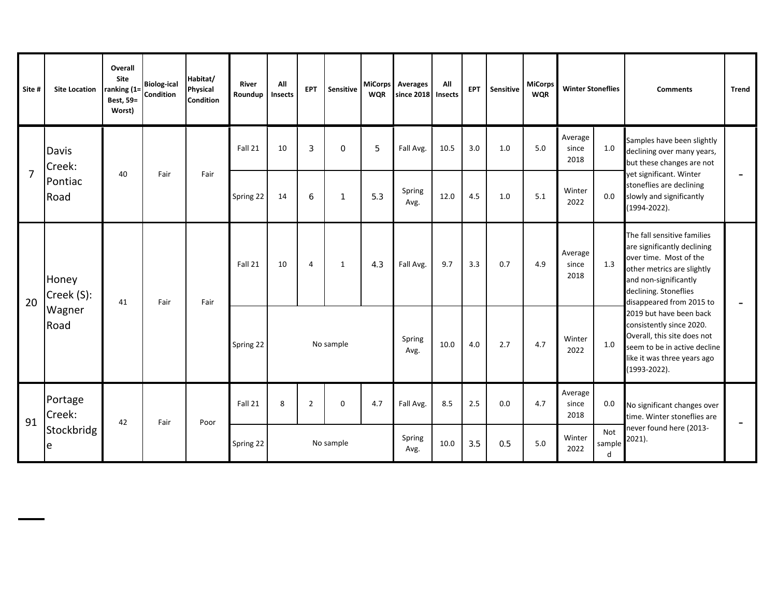| Site #         | <b>Site Location</b>                  | <b>Overall</b><br>Site<br>ranking (1=<br>Best, 59=<br>Worst) | <b>Biolog-ical</b><br>Condition | Habitat/<br>Physical<br>Condition | River<br>Roundup | All<br>Insects | <b>EPT</b>     | <b>Sensitive</b> | <b>WQR</b> | MiCorps Averages<br>since 2018 | All<br><b>Insects</b> | <b>EPT</b> | Sensitive | MiCorps<br><b>WQR</b> | <b>Winter Stoneflies</b> |                    | <b>Comments</b>                                                                                                                                                                                  | <b>Trend</b>             |
|----------------|---------------------------------------|--------------------------------------------------------------|---------------------------------|-----------------------------------|------------------|----------------|----------------|------------------|------------|--------------------------------|-----------------------|------------|-----------|-----------------------|--------------------------|--------------------|--------------------------------------------------------------------------------------------------------------------------------------------------------------------------------------------------|--------------------------|
|                | Davis<br>Creek:<br>Pontiac<br>Road    |                                                              | Fair                            | Fair                              | Fall 21          | 10             | 3              | $\circ$          | 5          | Fall Avg.                      | 10.5                  | 3.0        | 1.0       | 5.0                   | Average<br>since<br>2018 | 1.0                | Samples have been slightly<br>declining over many years,<br>but these changes are not                                                                                                            |                          |
| $\overline{7}$ |                                       | 40                                                           |                                 |                                   | Spring 22        | 14             | 6              | $\mathbf{1}$     | 5.3        | Spring<br>Avg.                 | 12.0                  | 4.5        | 1.0       | 5.1                   | Winter<br>2022           | 0.0                | yet significant. Winter<br>stoneflies are declining<br>slowly and significantly<br>(1994-2022).                                                                                                  |                          |
| 20             | Honey<br>Creek (S):<br>Wagner<br>Road | 41                                                           | Fair                            | Fair                              | Fall 21          | 10             | $\overline{4}$ | 1                | 4.3        | Fall Avg.                      | 9.7                   | 3.3        | 0.7       | 4.9                   | Average<br>since<br>2018 | 1.3                | The fall sensitive families<br>are significantly declining<br>over time. Most of the<br>other metrics are slightly<br>and non-significantly<br>declining. Stoneflies<br>disappeared from 2015 to |                          |
|                |                                       |                                                              |                                 |                                   | Spring 22        |                |                | No sample        |            | Spring<br>Avg.                 | 10.0                  | $4.0\,$    | 2.7       | 4.7                   | Winter<br>2022           | 1.0                | 2019 but have been back<br>consistently since 2020.<br>Overall, this site does not<br>seem to be in active decline<br>like it was three years ago<br>(1993-2022).                                |                          |
| 91             | Portage<br>Creek:<br>Stockbridg<br>e  | 42                                                           | Fair                            | Poor                              | Fall 21          | 8              | $\overline{2}$ | $\Omega$         | 4.7        | Fall Avg.                      | 8.5                   | 2.5        | 0.0       | 4.7                   | Average<br>since<br>2018 | 0.0                | No significant changes over<br>time. Winter stoneflies are                                                                                                                                       | $\overline{\phantom{a}}$ |
|                |                                       |                                                              |                                 |                                   | Spring 22        | No sample      |                |                  |            | Spring<br>Avg.                 | 10.0                  | 3.5        | 0.5       | 5.0                   | Winter<br>2022           | Not<br>sample<br>d | never found here (2013-<br>2021).                                                                                                                                                                |                          |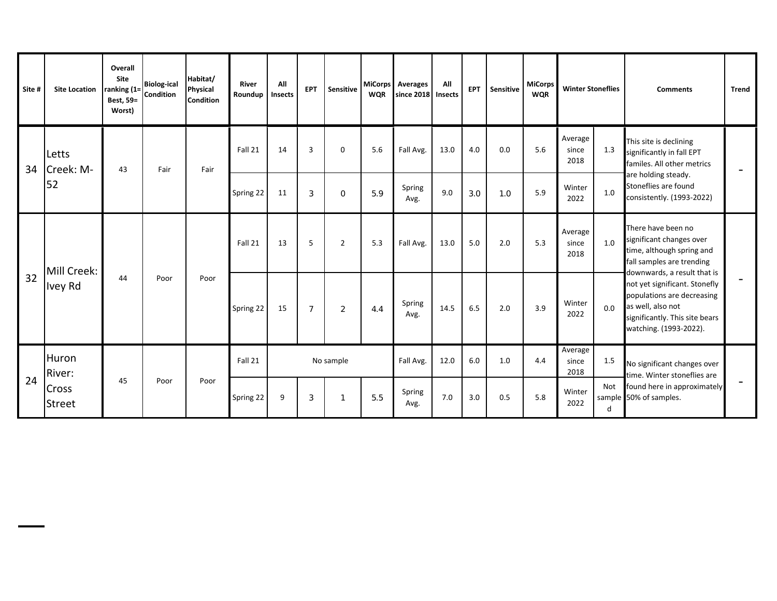| Site # | <b>Site Location</b>               | Overall<br>Site<br>ranking (1=<br>Best, 59=<br>Worst) | <b>Biolog-ical</b><br><b>Condition</b> | Habitat/<br>Physical<br><b>Condition</b> | <b>River</b><br>Roundup | All<br>Insects | <b>EPT</b>     | <b>Sensitive</b> | <b>MiCorps</b><br><b>WQR</b> | <b>Averages</b><br>since 2018 | All<br><b>Insects</b> | <b>EPT</b> | Sensitive | <b>MiCorps</b><br><b>WQR</b> | <b>Winter Stoneflies</b> |         | <b>Comments</b>                                                                                                                                                             | <b>Trend</b> |
|--------|------------------------------------|-------------------------------------------------------|----------------------------------------|------------------------------------------|-------------------------|----------------|----------------|------------------|------------------------------|-------------------------------|-----------------------|------------|-----------|------------------------------|--------------------------|---------|-----------------------------------------------------------------------------------------------------------------------------------------------------------------------------|--------------|
| 34     | Letts<br>Creek: M-<br>52           | 43                                                    | Fair                                   | Fair                                     | Fall 21                 | 14             | $\overline{3}$ | $\mathbf 0$      | 5.6                          | Fall Avg.                     | 13.0                  | 4.0        | 0.0       | 5.6                          | Average<br>since<br>2018 | 1.3     | This site is declining<br>significantly in fall EPT<br>familes. All other metrics                                                                                           |              |
|        |                                    |                                                       |                                        |                                          | Spring 22               | 11             | 3              | $\Omega$         | 5.9                          | Spring<br>Avg.                | 9.0                   | 3.0        | 1.0       | 5.9                          | Winter<br>2022           | 1.0     | are holding steady.<br>Stoneflies are found<br>consistently. (1993-2022)                                                                                                    |              |
|        | Mill Creek:<br>Ivey Rd             |                                                       |                                        |                                          | Fall 21                 | 13             | 5              | $\overline{2}$   | 5.3                          | Fall Avg.                     | 13.0                  | 5.0        | 2.0       | 5.3                          | Average<br>since<br>2018 | $1.0\,$ | There have been no<br>significant changes over<br>time, although spring and<br>fall samples are trending                                                                    |              |
| 32     |                                    | 44                                                    | Poor                                   | Poor                                     | Spring 22               | 15             | $\overline{7}$ | $\overline{2}$   | 4.4                          | Spring<br>Avg.                | 14.5                  | 6.5        | 2.0       | 3.9                          | Winter<br>2022           | 0.0     | downwards, a result that is<br>not yet significant. Stonefly<br>populations are decreasing<br>as well, also not<br>significantly. This site bears<br>watching. (1993-2022). |              |
|        | Huron<br>River:<br>Cross<br>Street | 45                                                    | Poor                                   |                                          | Fall 21                 | No sample      |                |                  |                              | Fall Avg.                     | 12.0                  | 6.0        | 1.0       | 4.4                          | Average<br>since<br>2018 | 1.5     | No significant changes over                                                                                                                                                 |              |
| 24     |                                    |                                                       |                                        | Poor                                     | Spring 22               | 9              | 3              |                  | 5.5                          | Spring<br>Avg.                | 7.0                   | 3.0        | 0.5       | 5.8                          | Winter<br>2022<br>d      |         | time. Winter stoneflies are<br>Not found here in approximately<br>sample 50% of samples.                                                                                    |              |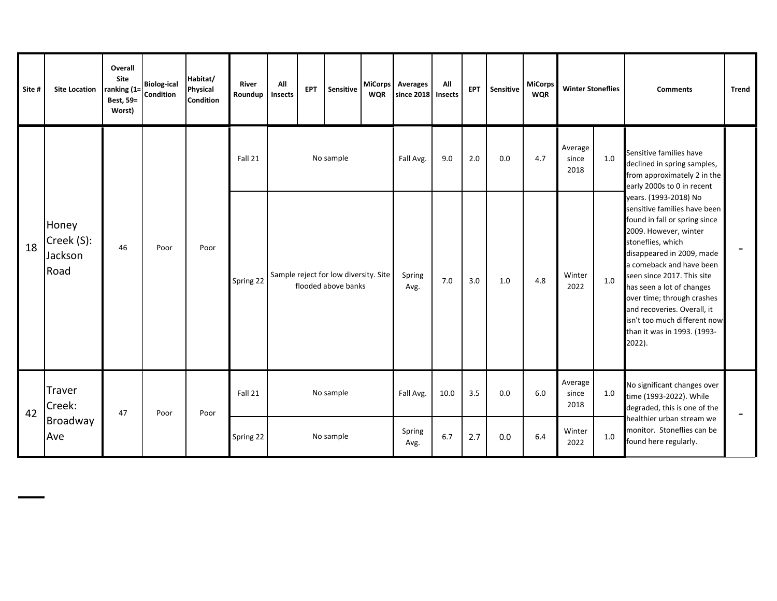| Site # | <b>Site Location</b>                   | Overall<br>Site<br>ranking (1=<br>Best, 59=<br>Worst) | <b>Biolog-ical</b><br>Condition | Habitat/<br><b>Physical</b><br>Condition | River<br>Roundup | All<br>Insects                                               | Sensitive<br><b>EPT</b> |           | <b>WQR</b>     | MiCorps Averages<br>since 2018 | All<br>Insects | <b>EPT</b> | Sensitive | <b>MiCorps</b><br><b>WQR</b> | <b>Winter Stoneflies</b> |                                                                                  | <b>Comments</b>                                                                                                                                                                                                                                                                                                                                                                                | <b>Trend</b>             |
|--------|----------------------------------------|-------------------------------------------------------|---------------------------------|------------------------------------------|------------------|--------------------------------------------------------------|-------------------------|-----------|----------------|--------------------------------|----------------|------------|-----------|------------------------------|--------------------------|----------------------------------------------------------------------------------|------------------------------------------------------------------------------------------------------------------------------------------------------------------------------------------------------------------------------------------------------------------------------------------------------------------------------------------------------------------------------------------------|--------------------------|
| 18     | Honey<br>Creek (S):<br>Jackson<br>Road | 46                                                    | Poor                            |                                          | Fall 21          |                                                              |                         | No sample |                | Fall Avg.                      | 9.0            | 2.0        | 0.0       | 4.7                          | Average<br>since<br>2018 | 1.0                                                                              | Sensitive families have<br>declined in spring samples,<br>from approximately 2 in the<br>early 2000s to 0 in recent                                                                                                                                                                                                                                                                            |                          |
|        |                                        |                                                       |                                 | Poor                                     | Spring 22        | Sample reject for low diversity. Site<br>flooded above banks |                         |           |                | Spring<br>Avg.                 | 7.0            | 3.0        | 1.0       | 4.8                          | Winter<br>2022           | 1.0                                                                              | years. (1993-2018) No<br>sensitive families have been<br>found in fall or spring since<br>2009. However, winter<br>stoneflies, which<br>disappeared in 2009, made<br>a comeback and have been<br>seen since 2017. This site<br>has seen a lot of changes<br>over time; through crashes<br>and recoveries. Overall, it<br>isn't too much different now<br>than it was in 1993. (1993-<br>2022). |                          |
| 42     | Traver<br>Creek:<br>Broadway<br>Ave    | 47                                                    | Poor                            | Poor                                     | Fall 21          |                                                              |                         | No sample |                | Fall Avg.                      | 10.0           | 3.5        | 0.0       | 6.0                          | Average<br>since<br>2018 | $1.0\,$                                                                          | No significant changes over<br>time (1993-2022). While<br>degraded, this is one of the                                                                                                                                                                                                                                                                                                         | $\overline{\phantom{m}}$ |
|        |                                        |                                                       |                                 |                                          | Spring 22        |                                                              | No sample               |           | Spring<br>Avg. | 6.7                            | 2.7            | 0.0        | 6.4       | Winter<br>2022               | $1.0\,$                  | healthier urban stream we<br>monitor. Stoneflies can be<br>found here regularly. |                                                                                                                                                                                                                                                                                                                                                                                                |                          |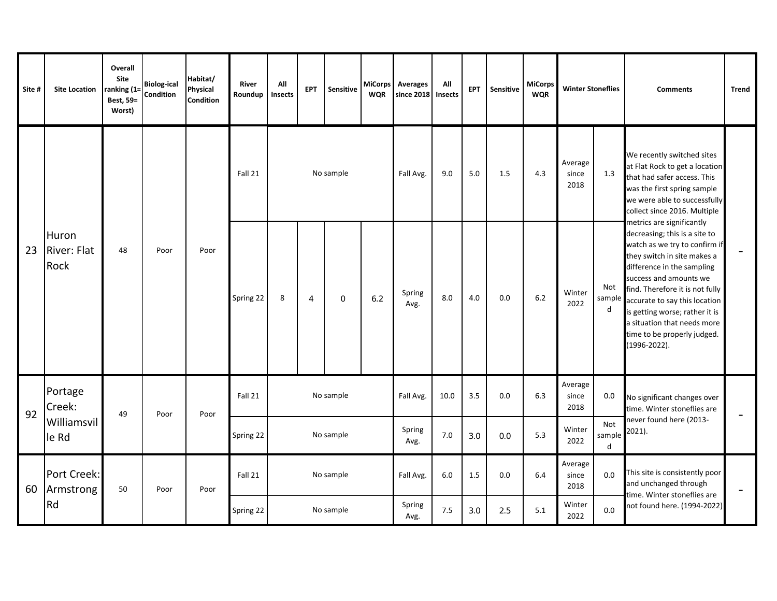| Site # | <b>Site Location</b>                | Overall<br>Site<br>ranking (1=<br>Best, 59=<br>Worst) | <b>Biolog-ical</b><br>Condition | Habitat/<br>Physical<br>Condition | <b>River</b><br>Roundup | All<br>Insects | <b>EPT</b>     | <b>Sensitive</b> | <b>WQR</b> | MiCorps Averages<br>since 2018 | All<br><b>Insects</b> | EPT | Sensitive | MiCorps<br><b>WQR</b> | <b>Winter Stoneflies</b>             |                    | <b>Comments</b>                                                                                                                                                                                                                                                                                                                                                        | <b>Trend</b>                 |
|--------|-------------------------------------|-------------------------------------------------------|---------------------------------|-----------------------------------|-------------------------|----------------|----------------|------------------|------------|--------------------------------|-----------------------|-----|-----------|-----------------------|--------------------------------------|--------------------|------------------------------------------------------------------------------------------------------------------------------------------------------------------------------------------------------------------------------------------------------------------------------------------------------------------------------------------------------------------------|------------------------------|
|        | Huron<br><b>River: Flat</b><br>Rock | 48                                                    | Poor                            |                                   | Fall 21                 |                |                | No sample        |            | Fall Avg.                      | 9.0                   | 5.0 | 1.5       | 4.3                   | Average<br>since<br>2018             | 1.3                | We recently switched sites<br>at Flat Rock to get a location<br>that had safer access. This<br>was the first spring sample<br>we were able to successfully<br>collect since 2016. Multiple                                                                                                                                                                             |                              |
| 23     |                                     |                                                       |                                 | Poor                              | Spring 22               | 8              | $\overline{4}$ | $\overline{0}$   | 6.2        | Spring<br>Avg.                 | 8.0                   | 4.0 | 0.0       | 6.2                   | Winter<br>2022                       | Not<br>sample<br>d | metrics are significantly<br>decreasing; this is a site to<br>watch as we try to confirm if<br>they switch in site makes a<br>difference in the sampling<br>success and amounts we<br>find. Therefore it is not fully<br>accurate to say this location<br>is getting worse; rather it is<br>a situation that needs more<br>time to be properly judged.<br>(1996-2022). |                              |
| 92     | Portage<br>Creek:                   | 49                                                    |                                 | Poor                              | Fall 21                 | No sample      |                |                  |            | Fall Avg.                      | 10.0                  | 3.5 | 0.0       | 6.3                   | Average<br>since<br>0.0<br>2018      |                    | No significant changes over<br>time. Winter stoneflies are                                                                                                                                                                                                                                                                                                             | $\qquad \qquad \blacksquare$ |
|        | Williamsvil<br>le Rd                |                                                       | Poor                            |                                   | Spring 22               | No sample      |                |                  |            | Spring<br>Avg.                 | 7.0                   | 3.0 | 0.0       | 5.3                   | Not<br>Winter<br>sample<br>2022<br>d |                    | never found here (2013-<br>2021).                                                                                                                                                                                                                                                                                                                                      |                              |
| 60     | Port Creek:<br>Armstrong            | 50                                                    | Poor                            | Poor                              | Fall 21                 |                | No sample      |                  |            | Fall Avg.                      | 6.0                   | 1.5 | 0.0       | 6.4                   | Average<br>since<br>2018             | 0.0                | This site is consistently poor<br>and unchanged through<br>time. Winter stoneflies are                                                                                                                                                                                                                                                                                 |                              |
|        | Rd                                  |                                                       |                                 |                                   | Spring 22               | No sample      |                |                  |            | Spring<br>Avg.                 | 7.5                   | 3.0 | 2.5       | 5.1                   | Winter<br>2022                       | 0.0                | not found here. (1994-2022)                                                                                                                                                                                                                                                                                                                                            |                              |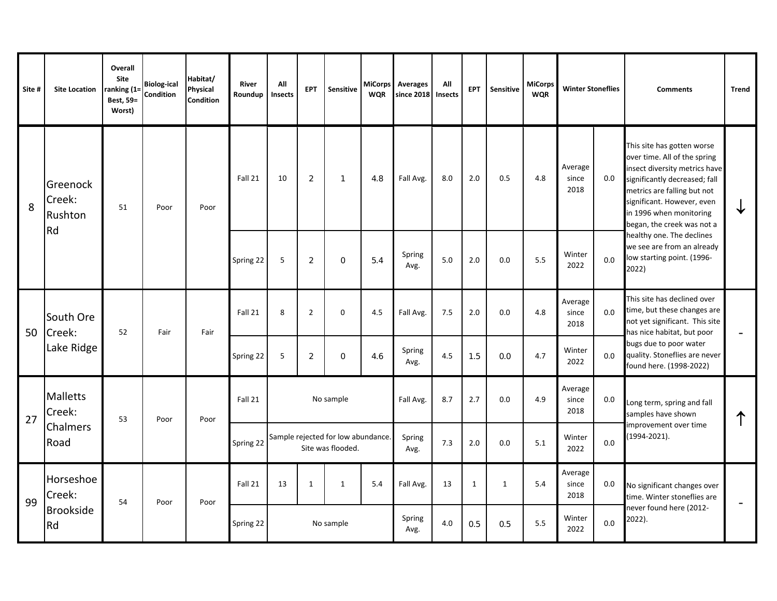| Site # | <b>Site Location</b>                          | Overall<br>Site<br>ranking $(1=$<br><b>Best, 59=</b><br>Worst) | <b>Biolog-ical</b><br>Condition | Habitat/<br>Physical<br><b>Condition</b> | <b>River</b><br>Roundup | All<br>Insects                                          | <b>EPT</b>     | Sensitive    | <b>MiCorps</b><br><b>WQR</b> | <b>Averages</b><br>since 2018 | All<br>Insects | <b>EPT</b>   | Sensitive    | MiCorps<br><b>WQR</b> | <b>Winter Stoneflies</b> |         | <b>Comments</b>                                                                                                                                                                                                                                    | <b>Trend</b>             |
|--------|-----------------------------------------------|----------------------------------------------------------------|---------------------------------|------------------------------------------|-------------------------|---------------------------------------------------------|----------------|--------------|------------------------------|-------------------------------|----------------|--------------|--------------|-----------------------|--------------------------|---------|----------------------------------------------------------------------------------------------------------------------------------------------------------------------------------------------------------------------------------------------------|--------------------------|
| 8      | Greenock<br>Creek:<br>Rushton                 | 51                                                             | Poor                            | Poor                                     | Fall 21                 | 10                                                      | 2              | $\mathbf{1}$ | 4.8                          | Fall Avg.                     | 8.0            | 2.0          | 0.5          | 4.8                   | Average<br>since<br>2018 | $0.0\,$ | This site has gotten worse<br>over time. All of the spring<br>insect diversity metrics have<br>significantly decreased; fall<br>metrics are falling but not<br>significant. However, even<br>in 1996 when monitoring<br>began, the creek was not a | ✦                        |
|        | Rd                                            |                                                                |                                 |                                          | Spring 22               | 5                                                       | $\overline{2}$ | $\circ$      | 5.4                          | Spring<br>Avg.                | 5.0            | 2.0          | 0.0          | 5.5                   | Winter<br>2022           | 0.0     | healthy one. The declines<br>we see are from an already<br>low starting point. (1996-<br>2022)                                                                                                                                                     |                          |
| 50     | South Ore<br>Creek:<br>Lake Ridge             | 52                                                             | Fair                            | Fair                                     | Fall 21                 | 8                                                       | $\overline{2}$ | $\mathbf 0$  | 4.5                          | Fall Avg.                     | 7.5            | 2.0          | 0.0          | 4.8                   | Average<br>since<br>2018 | 0.0     | This site has declined over<br>time, but these changes are<br>not yet significant. This site<br>has nice habitat, but poor                                                                                                                         | $\qquad \qquad -$        |
|        |                                               |                                                                |                                 |                                          | Spring 22               | 5                                                       | $\overline{2}$ | $\circ$      | 4.6                          | Spring<br>Avg.                | 4.5            | 1.5          | 0.0          | 4.7                   | Winter<br>2022           | 0.0     | bugs due to poor water<br>quality. Stoneflies are never<br>found here. (1998-2022)                                                                                                                                                                 |                          |
| 27     | <b>Malletts</b><br>Creek:                     | 53                                                             | Poor                            |                                          | Fall 21                 |                                                         |                | No sample    |                              | Fall Avg.                     | 8.7            | 2.7          | 0.0          | 4.9                   | Average<br>since<br>2018 | $0.0\,$ | Long term, spring and fall<br>samples have shown                                                                                                                                                                                                   |                          |
|        | Chalmers<br>Road                              |                                                                |                                 | Poor                                     | Spring 22               | Sample rejected for low abundance.<br>Site was flooded. |                |              |                              | Spring<br>Avg.                | 7.3            | 2.0          | 0.0          | 5.1                   | Winter<br>2022           | 0.0     | improvement over time<br>$(1994 - 2021).$                                                                                                                                                                                                          |                          |
| 99     | Horseshoe<br>Creek:<br><b>Brookside</b><br>Rd | 54                                                             | Poor                            |                                          | Fall 21                 | 13                                                      | $\mathbf{1}$   | $\mathbf{1}$ | 5.4                          | Fall Avg.                     | 13             | $\mathbf{1}$ | $\mathbf{1}$ | 5.4                   | Average<br>since<br>2018 | 0.0     | No significant changes over<br>time. Winter stoneflies are                                                                                                                                                                                         | $\overline{\phantom{a}}$ |
|        |                                               |                                                                |                                 | Poor                                     | Spring 22               |                                                         |                | No sample    |                              | Spring<br>Avg.                | 4.0            | 0.5          | 0.5          | 5.5                   | Winter<br>2022           | 0.0     | never found here (2012-<br>2022).                                                                                                                                                                                                                  |                          |